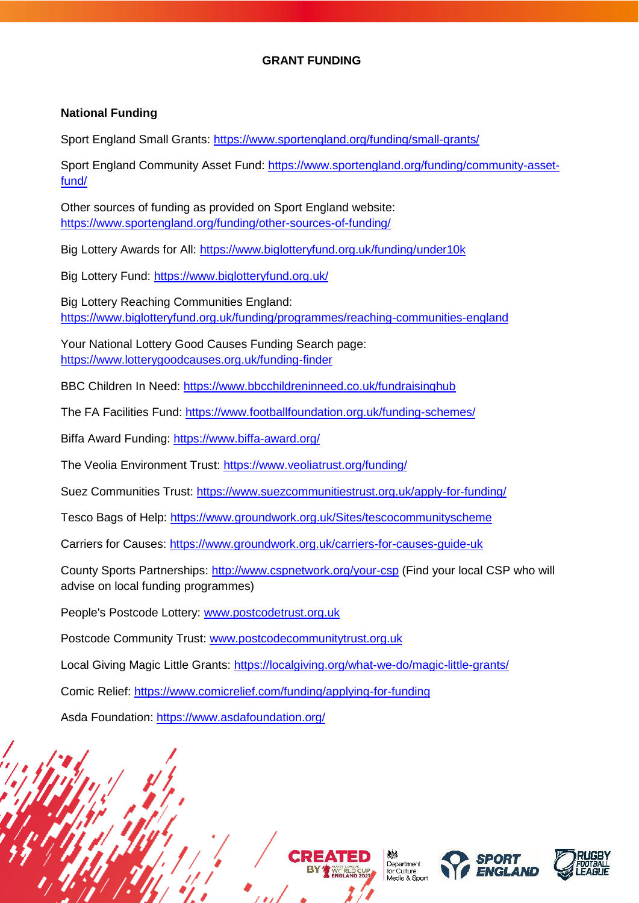# **GRANT FUNDING**

#### **National Funding**

Sport England Small Grants:<https://www.sportengland.org/funding/small-grants/>

Sport England Community Asset Fund: [https://www.sportengland.org/funding/community-asset](https://www.sportengland.org/funding/community-asset-fund/)[fund/](https://www.sportengland.org/funding/community-asset-fund/)

Other sources of funding as provided on Sport England website: <https://www.sportengland.org/funding/other-sources-of-funding/>

Big Lottery Awards for All:<https://www.biglotteryfund.org.uk/funding/under10k>

Big Lottery Fund:<https://www.biglotteryfund.org.uk/>

Big Lottery Reaching Communities England: <https://www.biglotteryfund.org.uk/funding/programmes/reaching-communities-england>

Your National Lottery Good Causes Funding Search page: <https://www.lotterygoodcauses.org.uk/funding-finder>

BBC Children In Need:<https://www.bbcchildreninneed.co.uk/fundraisinghub>

The FA Facilities Fund:<https://www.footballfoundation.org.uk/funding-schemes/>

Biffa Award Funding:<https://www.biffa-award.org/>

The Veolia Environment Trust:<https://www.veoliatrust.org/funding/>

Suez Communities Trust:<https://www.suezcommunitiestrust.org.uk/apply-for-funding/>

Tesco Bags of Help:<https://www.groundwork.org.uk/Sites/tescocommunityscheme>

Carriers for Causes:<https://www.groundwork.org.uk/carriers-for-causes-guide-uk>

County Sports Partnerships:<http://www.cspnetwork.org/your-csp> (Find your local CSP who will advise on local funding programmes)

People's Postcode Lottery: [www.postcodetrust.org.uk](http://www.postcodetrust.org.uk/)

Postcode Community Trust: [www.postcodecommunitytrust.org.uk](http://www.postcodecommunitytrust.org.uk/)

Local Giving Magic Little Grants:<https://localgiving.org/what-we-do/magic-little-grants/>

Comic Relief:<https://www.comicrelief.com/funding/applying-for-funding>

Asda Foundation:<https://www.asdafoundation.org/>







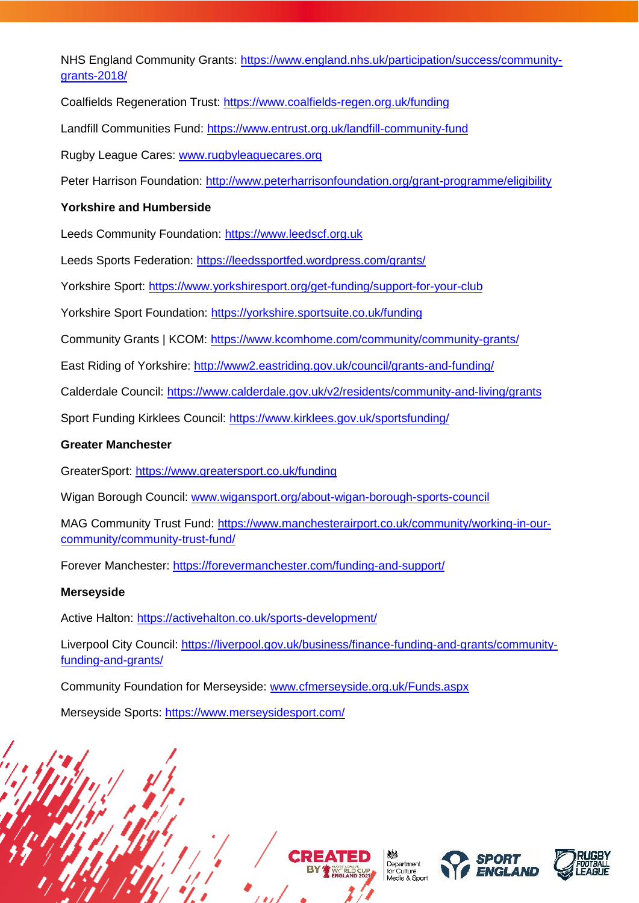NHS England Community Grants: [https://www.england.nhs.uk/participation/success/community](https://www.england.nhs.uk/participation/success/community-grants-2018/)[grants-2018/](https://www.england.nhs.uk/participation/success/community-grants-2018/)

Coalfields Regeneration Trust:<https://www.coalfields-regen.org.uk/funding>

Landfill Communities Fund:<https://www.entrust.org.uk/landfill-community-fund>

Rugby League Cares: [www.rugbyleaguecares.org](http://www.rugbyleaguecares.org/)

Peter Harrison Foundation:<http://www.peterharrisonfoundation.org/grant-programme/eligibility>

## **Yorkshire and Humberside**

Leeds Community Foundation: [https://www.leedscf.org.uk](https://www.leedscf.org.uk/)

Leeds Sports Federation:<https://leedssportfed.wordpress.com/grants/>

Yorkshire Sport:<https://www.yorkshiresport.org/get-funding/support-for-your-club>

Yorkshire Sport Foundation:<https://yorkshire.sportsuite.co.uk/funding>

Community Grants | KCOM:<https://www.kcomhome.com/community/community-grants/>

East Riding of Yorkshire:<http://www2.eastriding.gov.uk/council/grants-and-funding/>

Calderdale Council:<https://www.calderdale.gov.uk/v2/residents/community-and-living/grants>

Sport Funding Kirklees Council:<https://www.kirklees.gov.uk/sportsfunding/>

#### **Greater Manchester**

GreaterSport:<https://www.greatersport.co.uk/funding>

Wigan Borough Council: [www.wigansport.org/about-wigan-borough-sports-council](http://www.wigansport.org/about-wigan-borough-sports-council)

MAG Community Trust Fund: [https://www.manchesterairport.co.uk/community/working-in-our](https://www.manchesterairport.co.uk/community/working-in-our-community/community-trust-fund/)[community/community-trust-fund/](https://www.manchesterairport.co.uk/community/working-in-our-community/community-trust-fund/)

Forever Manchester:<https://forevermanchester.com/funding-and-support/>

#### **Merseyside**

Active Halton:<https://activehalton.co.uk/sports-development/>

Liverpool City Council: [https://liverpool.gov.uk/business/finance-funding-and-grants/community](https://liverpool.gov.uk/business/finance-funding-and-grants/community-funding-and-grants/)[funding-and-grants/](https://liverpool.gov.uk/business/finance-funding-and-grants/community-funding-and-grants/)

Community Foundation for Merseyside: [www.cfmerseyside.org.uk/Funds.aspx](http://www.cfmerseyside.org.uk/Funds.aspx)

Merseyside Sports:<https://www.merseysidesport.com/>